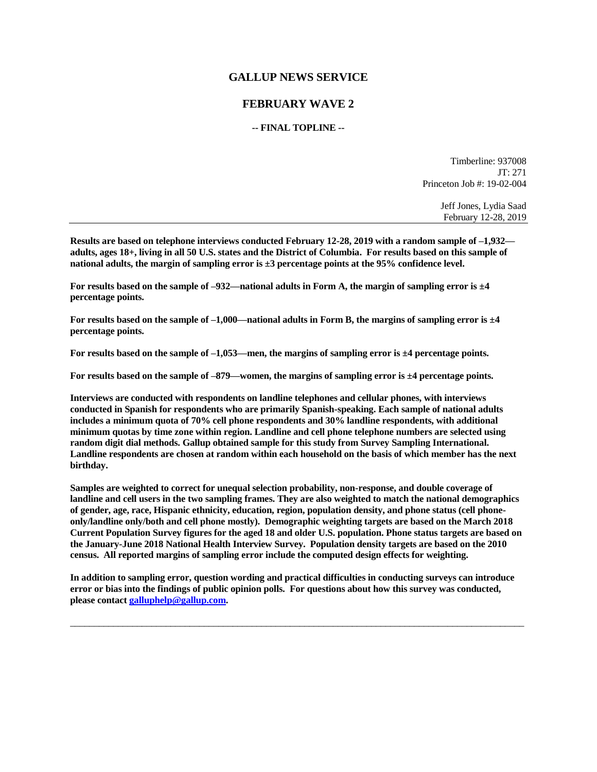### **GALLUP NEWS SERVICE**

## **FEBRUARY WAVE 2**

### **-- FINAL TOPLINE --**

Timberline: 937008 JT: 271 Princeton Job #: 19-02-004

> Jeff Jones, Lydia Saad February 12-28, 2019

**Results are based on telephone interviews conducted February 12-28, 2019 with a random sample of –1,932 adults, ages 18+, living in all 50 U.S. states and the District of Columbia. For results based on this sample of national adults, the margin of sampling error is ±3 percentage points at the 95% confidence level.** 

**For results based on the sample of –932—national adults in Form A, the margin of sampling error is ±4 percentage points.**

**For results based on the sample of –1,000—national adults in Form B, the margins of sampling error is ±4 percentage points.**

**For results based on the sample of –1,053—men, the margins of sampling error is ±4 percentage points.**

**For results based on the sample of –879—women, the margins of sampling error is ±4 percentage points.**

**Interviews are conducted with respondents on landline telephones and cellular phones, with interviews conducted in Spanish for respondents who are primarily Spanish-speaking. Each sample of national adults includes a minimum quota of 70% cell phone respondents and 30% landline respondents, with additional minimum quotas by time zone within region. Landline and cell phone telephone numbers are selected using random digit dial methods. Gallup obtained sample for this study from Survey Sampling International. Landline respondents are chosen at random within each household on the basis of which member has the next birthday.**

**Samples are weighted to correct for unequal selection probability, non-response, and double coverage of landline and cell users in the two sampling frames. They are also weighted to match the national demographics of gender, age, race, Hispanic ethnicity, education, region, population density, and phone status (cell phoneonly/landline only/both and cell phone mostly). Demographic weighting targets are based on the March 2018 Current Population Survey figures for the aged 18 and older U.S. population. Phone status targets are based on the January-June 2018 National Health Interview Survey. Population density targets are based on the 2010 census. All reported margins of sampling error include the computed design effects for weighting.** 

**In addition to sampling error, question wording and practical difficulties in conducting surveys can introduce error or bias into the findings of public opinion polls. For questions about how this survey was conducted, please contac[t galluphelp@gallup.com.](mailto:galluphelp@gallup.com)**

 $\_$  ,  $\_$  ,  $\_$  ,  $\_$  ,  $\_$  ,  $\_$  ,  $\_$  ,  $\_$  ,  $\_$  ,  $\_$  ,  $\_$  ,  $\_$  ,  $\_$  ,  $\_$  ,  $\_$  ,  $\_$  ,  $\_$  ,  $\_$  ,  $\_$  ,  $\_$  ,  $\_$  ,  $\_$  ,  $\_$  ,  $\_$  ,  $\_$  ,  $\_$  ,  $\_$  ,  $\_$  ,  $\_$  ,  $\_$  ,  $\_$  ,  $\_$  ,  $\_$  ,  $\_$  ,  $\_$  ,  $\_$  ,  $\_$  ,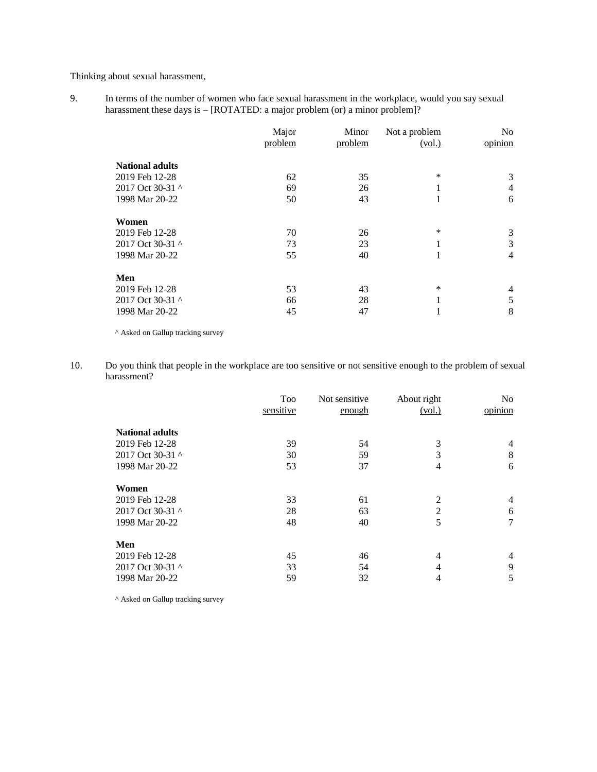Thinking about sexual harassment,

9. In terms of the number of women who face sexual harassment in the workplace, would you say sexual harassment these days is - [ROTATED: a major problem (or) a minor problem]?

|                        | Major<br>problem | Minor<br>problem | Not a problem<br>(vol.) | N <sub>0</sub><br>opinion |
|------------------------|------------------|------------------|-------------------------|---------------------------|
| <b>National adults</b> |                  |                  |                         |                           |
| 2019 Feb 12-28         | 62               | 35               | *                       | 3                         |
| 2017 Oct 30-31 ^       | 69               | 26               | 1                       | 4                         |
| 1998 Mar 20-22         | 50               | 43               | 1                       | 6                         |
| Women                  |                  |                  |                         |                           |
| 2019 Feb 12-28         | 70               | 26               | $\ast$                  | 3                         |
| 2017 Oct 30-31 ^       | 73               | 23               | 1                       | 3                         |
| 1998 Mar 20-22         | 55               | 40               | 1                       | $\overline{4}$            |
| Men                    |                  |                  |                         |                           |
| 2019 Feb 12-28         | 53               | 43               | *                       | $\overline{4}$            |
| 2017 Oct 30-31 ^       | 66               | 28               | 1                       | 5                         |
| 1998 Mar 20-22         | 45               | 47               | 1<br>T                  | 8                         |

^ Asked on Gallup tracking survey

10. Do you think that people in the workplace are too sensitive or not sensitive enough to the problem of sexual harassment?

|                        | Too<br>sensitive | Not sensitive<br>enough | About right<br>(vol.) | N <sub>0</sub><br>opinion |
|------------------------|------------------|-------------------------|-----------------------|---------------------------|
| <b>National adults</b> |                  |                         |                       |                           |
| 2019 Feb 12-28         | 39               | 54                      | 3                     | 4                         |
| 2017 Oct 30-31 ^       | 30               | 59                      | 3                     | 8                         |
| 1998 Mar 20-22         | 53               | 37                      | $\overline{4}$        | 6                         |
| Women                  |                  |                         |                       |                           |
| 2019 Feb 12-28         | 33               | 61                      | 2                     | 4                         |
| 2017 Oct 30-31 ^       | 28               | 63                      | 2                     | 6                         |
| 1998 Mar 20-22         | 48               | 40                      | 5                     | 7                         |
| Men                    |                  |                         |                       |                           |
| 2019 Feb 12-28         | 45               | 46                      | 4                     | 4                         |
| 2017 Oct 30-31 ^       | 33               | 54                      | $\overline{4}$        | 9                         |
| 1998 Mar 20-22         | 59               | 32                      | 4                     | 5                         |

^ Asked on Gallup tracking survey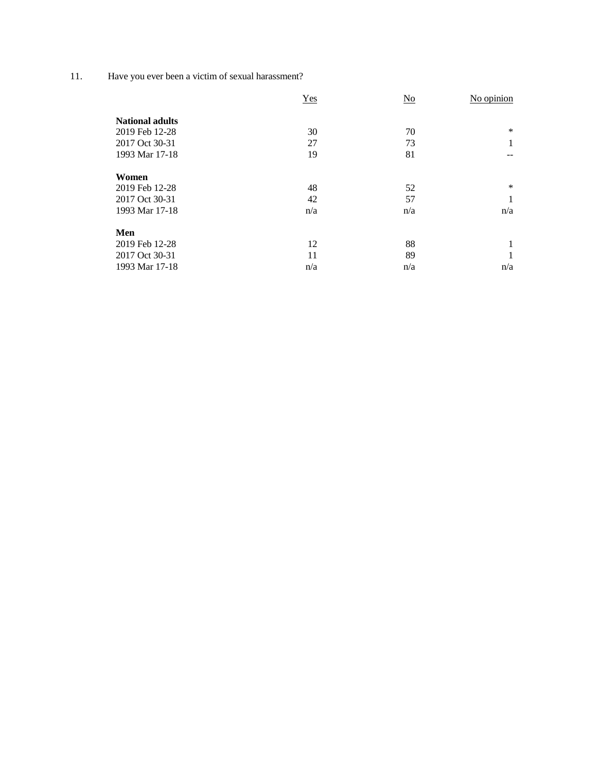11. Have you ever been a victim of sexual harassment?

|                        | Yes | No  | No opinion |
|------------------------|-----|-----|------------|
| <b>National adults</b> |     |     |            |
| 2019 Feb 12-28         | 30  | 70  | $\ast$     |
| 2017 Oct 30-31         | 27  | 73  | 1          |
| 1993 Mar 17-18         | 19  | 81  |            |
| Women                  |     |     |            |
|                        |     |     | $\ast$     |
| 2019 Feb 12-28         | 48  | 52  |            |
| 2017 Oct 30-31         | 42  | 57  | 1          |
| 1993 Mar 17-18         | n/a | n/a | n/a        |
| Men                    |     |     |            |
| 2019 Feb 12-28         | 12  | 88  |            |
| 2017 Oct 30-31         | 11  | 89  |            |
| 1993 Mar 17-18         | n/a | n/a | n/a        |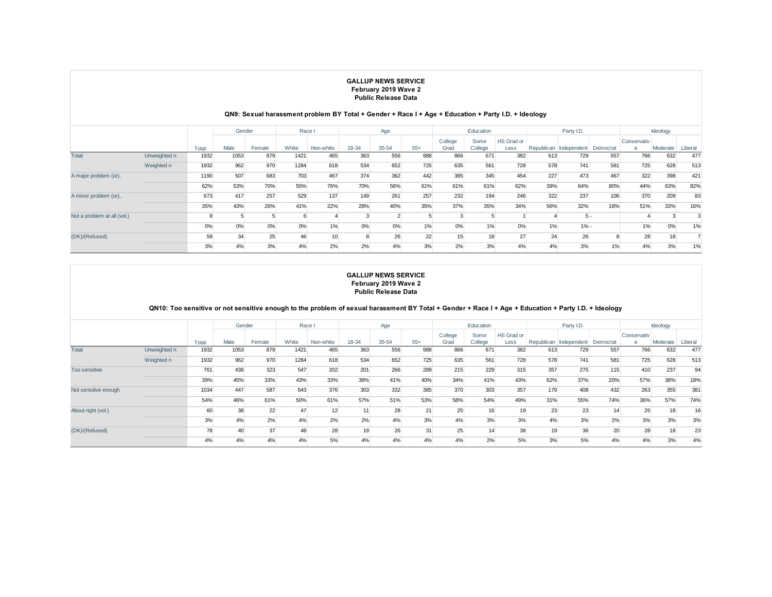# **GALLUP NEWS SERVICE February 2019 Wave 2 Public Release Data**

#### **QN9: Sexual harassment problem BY Total + Gender + Race I + Age + Education + Party I.D. + Ideology**

|                             |              | Gender |      |        | Race I |                 | Age   |       |       | Education |         |            |            | Party I.D.  |          | Ideology    |          |         |
|-----------------------------|--------------|--------|------|--------|--------|-----------------|-------|-------|-------|-----------|---------|------------|------------|-------------|----------|-------------|----------|---------|
|                             |              |        |      |        |        |                 |       |       |       | College   | Some    | HS Grad or |            |             |          | Conservativ |          |         |
|                             |              | Total  | Male | Female | White  | Non-white       | 18-34 | 35-54 | $55+$ | Grad      | College | Less       | Republican | Independent | Democrat |             | Moderate | Liberal |
| Total                       | Unweighted n | 1932   | 1053 | 879    | 1421   | 465             | 363   | 556   | 988   | 866       | 671     | 382        | 613        | 729         | 557      | 766         | 632      | 477     |
|                             | Weighted n   | 1932   | 962  | 970    | 1284   | 618             | 534   | 652   | 725   | 635       | 561     | 728        | 578        | 741         | 581      | 725         | 628      | 513     |
| A major problem (or),       |              | 1190   | 507  | 683    | 703    | 467             | 374   | 362   | 442   | 385       | 345     | 454        | 227        | 473         | 467      | 322         | 398      | 421     |
|                             |              | 62%    | 53%  | 70%    | 55%    | 76%             | 70%   | 56%   | 61%   | 61%       | 61%     | 62%        | 39%        | 64%         | 80%      | 44%         | 63%      | 82%     |
| A minor problem (or),       |              | 673    | 417  | 257    | 529    | 137             | 149   | 261   | 257   | 232       | 194     | 246        | 322        | 237         | 106      | 370         | 209      | 83      |
|                             |              | 35%    | 43%  | 26%    | 41%    | 22%             | 28%   | 40%   | 35%   | 37%       | 35%     | 34%        | 56%        | 32%         | 18%      | 51%         | 33%      | 16%     |
| Not a problem at all (vol.) |              | 9      |      |        | ĥ      |                 |       |       |       |           |         |            |            | 5 -         |          |             |          |         |
|                             |              | 0%     | 0%   | 0%     | 0%     | 1%              | 0%    | 0%    | 1%    | 0%        | 1%      | 0%         | 1%         | $1% -$      |          | 1%          | 0%       | 1%      |
| (DK)/(Refused)              |              | 59     | 34   | 25     | 46     | 10 <sup>°</sup> |       | 26    | 22    | 15        | 18      | 27         | 24         | 26          | 8        | 28          | 18       |         |
|                             |              | 3%     | 4%   | 3%     | 4%     | 2%              | 2%    | 4%    | 3%    | 2%        | 3%      | 4%         | 4%         | 3%          | 1%       | 4%          | 3%       | 1%      |

| <b>GALLUP NEWS SERVICE</b> |  |  |  |  |  |  |  |  |  |  |  |  |
|----------------------------|--|--|--|--|--|--|--|--|--|--|--|--|
| February 2019 Wave 2       |  |  |  |  |  |  |  |  |  |  |  |  |
| <b>Public Release Data</b> |  |  |  |  |  |  |  |  |  |  |  |  |

| QN10: Too sensitive or not sensitive enough to the problem of sexual harassment BY Total + Gender + Race I + Age + Education + Party I.D. + Ideology |              |       |        |        |        |           |       |           |       |                 |                 |                    |     |                                 |     |             |          |         |
|------------------------------------------------------------------------------------------------------------------------------------------------------|--------------|-------|--------|--------|--------|-----------|-------|-----------|-------|-----------------|-----------------|--------------------|-----|---------------------------------|-----|-------------|----------|---------|
|                                                                                                                                                      |              |       | Gender |        | Race I |           |       | Age       |       |                 | Education       |                    |     | Party I.D.                      |     |             | Ideology |         |
|                                                                                                                                                      |              | Total | Male   | Female | White  | Non-white | 18-34 | $35 - 54$ | $55+$ | College<br>Grad | Some<br>College | HS Grad or<br>Less |     | Republican Independent Democrat |     | Conservativ | Moderate | Liberal |
| Total                                                                                                                                                | Unweighted n | 1932  | 1053   | 879    | 1421   | 465       | 363   | 556       | 988   | 866             | 671             | 382                | 613 | 729                             | 557 | 766         | 632      | 477     |
|                                                                                                                                                      | Weighted n   | 1932  | 962    | 970    | 1284   | 618       | 534   | 652       | 725   | 635             | 561             | 728                | 578 | 741                             | 581 | 725         | 628      | 513     |
| <b>Too sensitive</b>                                                                                                                                 |              | 761   | 438    | 323    | 547    | 202       | 201   | 266       | 289   | 215             | 229             | 315                | 357 | 275                             | 115 | 410         | 237      | 94      |
|                                                                                                                                                      |              | 39%   | 45%    | 33%    | 43%    | 33%       | 38%   | 41%       | 40%   | 34%             | 41%             | 43%                | 62% | 37%                             | 20% | 57%         | 38%      | 18%     |
| Not sensitive enough                                                                                                                                 |              | 1034  | 447    | 587    | 643    | 376       | 303   | 332       | 385   | 370             | 303             | 357                | 179 | 408                             | 432 | 263         | 355      | 381     |
|                                                                                                                                                      |              | 54%   | 46%    | 61%    | 50%    | 61%       | 57%   | 51%       | 53%   | 58%             | 54%             | 49%                | 31% | 55%                             | 74% | 36%         | 57%      | 74%     |
| About right (vol.)                                                                                                                                   |              | 60    | 38     | 22     | 47     | 12        |       | 28        | 21    | 25              | 16              | 19                 | 23  | 23                              | 14  | 25          | 18       | 16      |
|                                                                                                                                                      |              | 3%    | 4%     | 2%     | 4%     | 2%        | 2%    | 4%        | 3%    | 4%              | 3%              | 3%                 | 4%  | 3%                              | 2%  | 3%          | 3%       | 3%      |
| (DK)/(Refused)                                                                                                                                       |              | 78    | 40     | 37     | 48     | 28        | 19    | 26        | 31    | 25              | 14              | 38                 | 19  | 36                              | 20  | 28          | 18       | 23      |
|                                                                                                                                                      |              | 4%    | 4%     | 4%     | 4%     | 5%        | 4%    | 4%        | 4%    | 4%              | 2%              | 5%                 | 3%  | 5%                              | 4%  | 4%          | 3%       | 4%      |